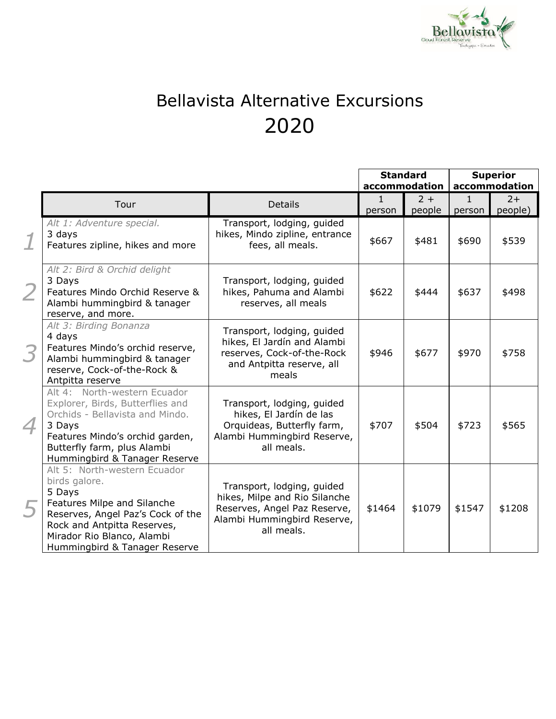

## Bellavista Alternative Excursions 2020

|   |                                                                                                                                                                                                                           |                                                                                                                                          | <b>Standard</b> |        | <b>Superior</b> |         |
|---|---------------------------------------------------------------------------------------------------------------------------------------------------------------------------------------------------------------------------|------------------------------------------------------------------------------------------------------------------------------------------|-----------------|--------|-----------------|---------|
|   |                                                                                                                                                                                                                           |                                                                                                                                          | accommodation   |        | accommodation   |         |
|   | Tour                                                                                                                                                                                                                      | <b>Details</b>                                                                                                                           | $\mathbf{1}$    | $2 +$  | $\mathbf{1}$    | $2+$    |
|   |                                                                                                                                                                                                                           |                                                                                                                                          | person          | people | person          | people) |
|   | Alt 1: Adventure special.<br>3 days<br>Features zipline, hikes and more                                                                                                                                                   | Transport, lodging, guided<br>hikes, Mindo zipline, entrance<br>fees, all meals.                                                         | \$667           | \$481  | \$690           | \$539   |
|   | Alt 2: Bird & Orchid delight<br>3 Days<br>Features Mindo Orchid Reserve &<br>Alambi hummingbird & tanager<br>reserve, and more.                                                                                           | Transport, lodging, guided<br>hikes, Pahuma and Alambi<br>reserves, all meals                                                            | \$622           | \$444  | \$637           | \$498   |
| 3 | Alt 3: Birding Bonanza<br>4 days<br>Features Mindo's orchid reserve,<br>Alambi hummingbird & tanager<br>reserve, Cock-of-the-Rock &<br>Antpitta reserve                                                                   | Transport, lodging, guided<br>hikes, El Jardín and Alambi<br>reserves, Cock-of-the-Rock<br>and Antpitta reserve, all<br>meals            | \$946           | \$677  | \$970           | \$758   |
| 4 | Alt 4: North-western Ecuador<br>Explorer, Birds, Butterflies and<br>Orchids - Bellavista and Mindo.<br>3 Days<br>Features Mindo's orchid garden,<br>Butterfly farm, plus Alambi<br>Hummingbird & Tanager Reserve          | Transport, lodging, guided<br>hikes, El Jardín de las<br>Orquideas, Butterfly farm,<br>Alambi Hummingbird Reserve,<br>all meals.         | \$707           | \$504  | \$723           | \$565   |
|   | Alt 5: North-western Ecuador<br>birds galore.<br>5 Days<br>Features Milpe and Silanche<br>Reserves, Angel Paz's Cock of the<br>Rock and Antpitta Reserves,<br>Mirador Rio Blanco, Alambi<br>Hummingbird & Tanager Reserve | Transport, lodging, guided<br>hikes, Milpe and Rio Silanche<br>Reserves, Angel Paz Reserve,<br>Alambi Hummingbird Reserve,<br>all meals. | \$1464          | \$1079 | \$1547          | \$1208  |